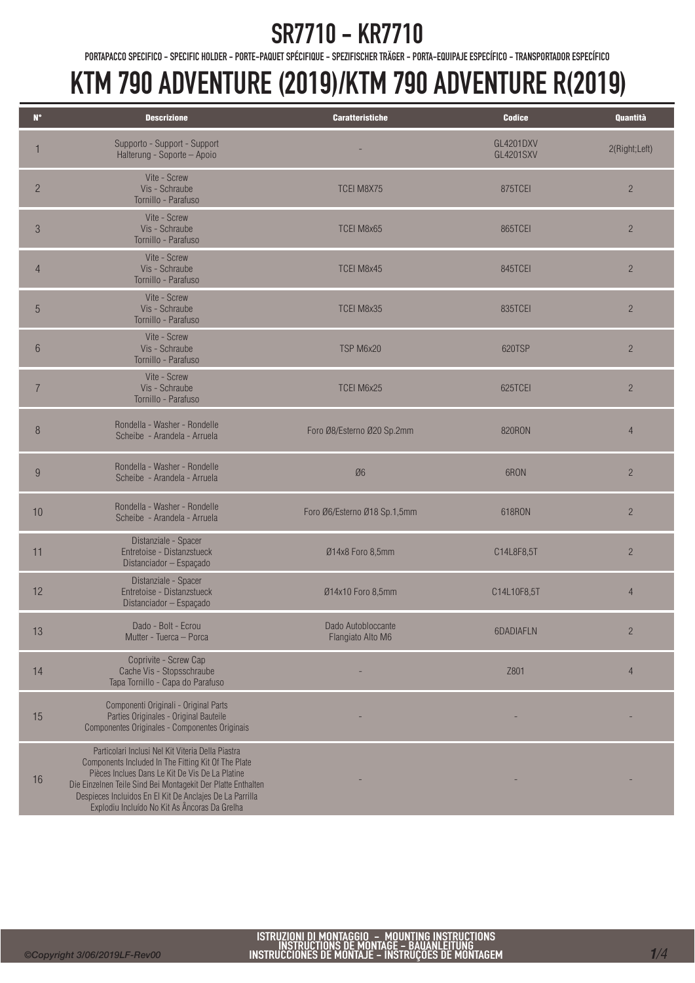#### SR7710 - KR7710

PORTAPACCO SPECIFICO - SPECIFIC HOLDER - PORTE-PAQUET SPÉCIFIQUE - SPEZIFISCHER TRÄGER - PORTA-EQUIPAJE ESPECÍFICO - TRANSPORTADOR ESPECÍFICO

| $N^{\circ}$     | <b>Descrizione</b>                                                                                                                                                                                                                                                                                                                       | <b>Caratteristiche</b>                  | <b>Codice</b>                        | Quantità       |
|-----------------|------------------------------------------------------------------------------------------------------------------------------------------------------------------------------------------------------------------------------------------------------------------------------------------------------------------------------------------|-----------------------------------------|--------------------------------------|----------------|
|                 | Supporto - Support - Support<br>Halterung - Soporte - Apoio                                                                                                                                                                                                                                                                              |                                         | <b>GL4201DXV</b><br><b>GL4201SXV</b> | 2(Right;Left)  |
| $\overline{c}$  | Vite - Screw<br>Vis - Schraube<br>Tornillo - Parafuso                                                                                                                                                                                                                                                                                    | <b>TCEI M8X75</b>                       | 875TCEI                              | $\overline{2}$ |
| $\sqrt{3}$      | Vite - Screw<br>Vis - Schraube<br>Tornillo - Parafuso                                                                                                                                                                                                                                                                                    | TCEI M8x65                              | 865TCEI                              | $\overline{2}$ |
| $\overline{4}$  | Vite - Screw<br>Vis - Schraube<br>Tornillo - Parafuso                                                                                                                                                                                                                                                                                    | TCEI M8x45                              | 845TCEI                              | $\overline{2}$ |
| 5               | Vite - Screw<br>Vis - Schraube<br>Tornillo - Parafuso                                                                                                                                                                                                                                                                                    | TCEI M8x35                              | 835TCEI                              | $\overline{2}$ |
| $6\phantom{.}6$ | Vite - Screw<br>Vis - Schraube<br>Tornillo - Parafuso                                                                                                                                                                                                                                                                                    | TSP M6x20                               | 620TSP                               | $\overline{c}$ |
| $\overline{7}$  | Vite - Screw<br>Vis - Schraube<br>Tornillo - Parafuso                                                                                                                                                                                                                                                                                    | TCEI M6x25                              | 625TCEI                              | $\overline{c}$ |
| 8               | Rondella - Washer - Rondelle<br>Scheibe - Arandela - Arruela                                                                                                                                                                                                                                                                             | Foro Ø8/Esterno Ø20 Sp.2mm              | <b>820RON</b>                        | $\overline{4}$ |
| 9               | Rondella - Washer - Rondelle<br>Scheibe - Arandela - Arruela                                                                                                                                                                                                                                                                             | Ø6                                      | 6RON                                 | $\overline{2}$ |
| 10              | Rondella - Washer - Rondelle<br>Scheibe - Arandela - Arruela                                                                                                                                                                                                                                                                             | Foro Ø6/Esterno Ø18 Sp.1,5mm            | 618RON                               | $\overline{2}$ |
| 11              | Distanziale - Spacer<br>Entretoise - Distanzstueck<br>Distanciador - Espaçado                                                                                                                                                                                                                                                            | Ø14x8 Foro 8,5mm                        | C14L8F8,5T                           | $\overline{c}$ |
| 12              | Distanziale - Spacer<br>Entretoise - Distanzstueck<br>Distanciador - Espaçado                                                                                                                                                                                                                                                            | Ø14x10 Foro 8,5mm                       | C14L10F8,5T                          | $\overline{4}$ |
| 13              | Dado - Bolt - Ecrou<br>Mutter - Tuerca - Porca                                                                                                                                                                                                                                                                                           | Dado Autobloccante<br>Flangiato Alto M6 | 6DADIAFLN                            | $\overline{c}$ |
| 14              | Coprivite - Screw Cap<br>Cache Vis - Stopsschraube<br>Tapa Tornillo - Capa do Parafuso                                                                                                                                                                                                                                                   |                                         | Z801                                 | $\overline{4}$ |
| 15              | Componenti Originali - Original Parts<br>Parties Originales - Original Bauteile<br>Componentes Originales - Componentes Originais                                                                                                                                                                                                        |                                         |                                      |                |
| 16              | Particolari Inclusi Nel Kit Viteria Della Piastra<br>Components Included In The Fitting Kit Of The Plate<br>Pièces Inclues Dans Le Kit De Vis De La Platine<br>Die Einzelnen Teile Sind Bei Montagekit Der Platte Enthalten<br>Despieces Incluidos En El Kit De Anclajes De La Parrilla<br>Explodiu Incluído No Kit As Âncoras Da Grelha |                                         |                                      |                |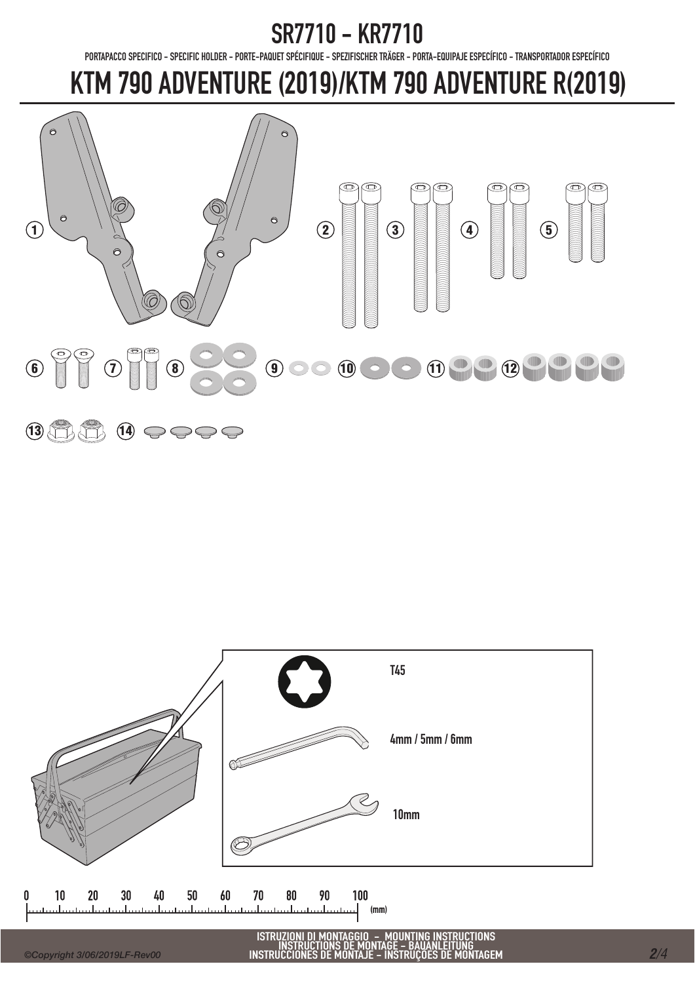#### SR7710 - KR7710

PORTAPACCO SPECIFICO - SPECIFIC HOLDER - PORTE-PAQUET SPÉCIFIQUE - SPEZIFISCHER TRÄGER - PORTA-EQUIPAJE ESPECÍFICO - TRANSPORTADOR ESPECÍFICO



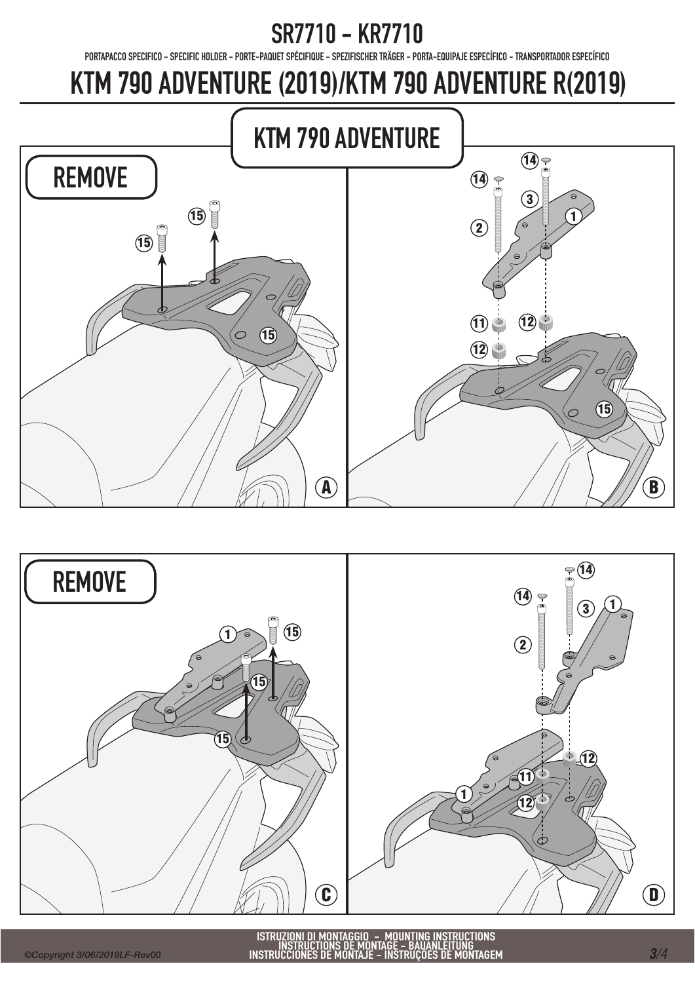# SR7710 - KR7710

PORTAPACCO SPECIFICO - SPECIFIC HOLDER - PORTE-PAQUET SPÉCIFIQUE - SPEZIFISCHER TRÄGER - PORTA-EQUIPAJE ESPECÍFICO - TRANSPORTADOR ESPECÍFICO